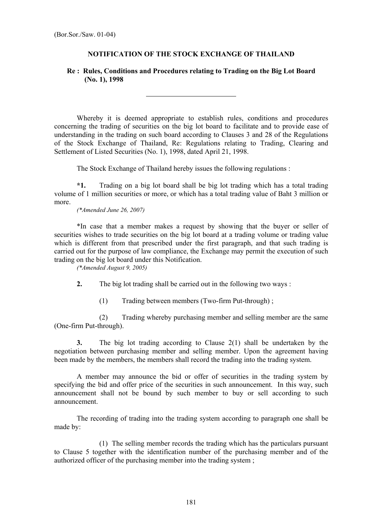## **NOTIFICATION OF THE STOCK EXCHANGE OF THAILAND**

## **Re : Rules, Conditions and Procedures relating to Trading on the Big Lot Board (No. 1), 1998**

l

Whereby it is deemed appropriate to establish rules, conditions and procedures concerning the trading of securities on the big lot board to facilitate and to provide ease of understanding in the trading on such board according to Clauses 3 and 28 of the Regulations of the Stock Exchange of Thailand, Re: Regulations relating to Trading, Clearing and Settlement of Listed Securities (No. 1), 1998, dated April 21, 1998.

The Stock Exchange of Thailand hereby issues the following regulations :

**\*1.** Trading on a big lot board shall be big lot trading which has a total trading volume of 1 million securities or more, or which has a total trading value of Baht 3 million or more.

*(\*Amended June 26, 2007)* 

\*In case that a member makes a request by showing that the buyer or seller of securities wishes to trade securities on the big lot board at a trading volume or trading value which is different from that prescribed under the first paragraph, and that such trading is carried out for the purpose of law compliance, the Exchange may permit the execution of such trading on the big lot board under this Notification.

*(\*Amended August 9, 2005)* 

**2.** The big lot trading shall be carried out in the following two ways :

(1) Trading between members (Two-firm Put-through) ;

 (2) Trading whereby purchasing member and selling member are the same (One-firm Put-through).

**3.** The big lot trading according to Clause 2(1) shall be undertaken by the negotiation between purchasing member and selling member. Upon the agreement having been made by the members, the members shall record the trading into the trading system.

A member may announce the bid or offer of securities in the trading system by specifying the bid and offer price of the securities in such announcement. In this way, such announcement shall not be bound by such member to buy or sell according to such announcement.

The recording of trading into the trading system according to paragraph one shall be made by:

 (1) The selling member records the trading which has the particulars pursuant to Clause 5 together with the identification number of the purchasing member and of the authorized officer of the purchasing member into the trading system ;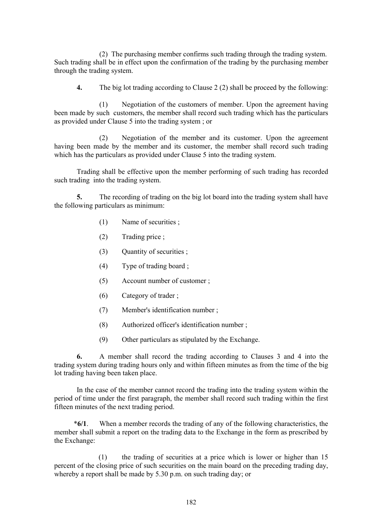(2) The purchasing member confirms such trading through the trading system. Such trading shall be in effect upon the confirmation of the trading by the purchasing member through the trading system.

**4.** The big lot trading according to Clause 2 (2) shall be proceed by the following:

(1) Negotiation of the customers of member. Upon the agreement having been made by such customers, the member shall record such trading which has the particulars as provided under Clause 5 into the trading system ; or

 (2) Negotiation of the member and its customer. Upon the agreement having been made by the member and its customer, the member shall record such trading which has the particulars as provided under Clause 5 into the trading system.

Trading shall be effective upon the member performing of such trading has recorded such trading into the trading system.

**5.** The recording of trading on the big lot board into the trading system shall have the following particulars as minimum:

- (1) Name of securities ;
- (2) Trading price ;
- (3) Ouantity of securities ;
- (4) Type of trading board ;
- (5) Account number of customer ;
- (6) Category of trader ;
- (7) Member's identification number ;
- (8) Authorized officer's identification number ;
- (9) Other particulars as stipulated by the Exchange.

**6.** A member shall record the trading according to Clauses 3 and 4 into the trading system during trading hours only and within fifteen minutes as from the time of the big lot trading having been taken place.

In the case of the member cannot record the trading into the trading system within the period of time under the first paragraph, the member shall record such trading within the first fifteen minutes of the next trading period.

 \***6/1**. When a member records the trading of any of the following characteristics, the member shall submit a report on the trading data to the Exchange in the form as prescribed by the Exchange:

(1) the trading of securities at a price which is lower or higher than 15 percent of the closing price of such securities on the main board on the preceding trading day, whereby a report shall be made by 5.30 p.m. on such trading day; or